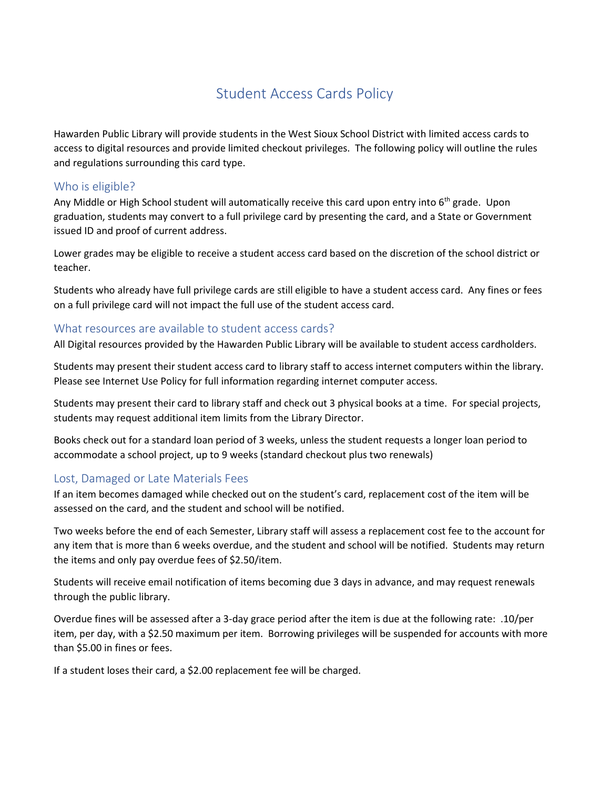# Student Access Cards Policy

Hawarden Public Library will provide students in the West Sioux School District with limited access cards to access to digital resources and provide limited checkout privileges. The following policy will outline the rules and regulations surrounding this card type.

#### Who is eligible?

Any Middle or High School student will automatically receive this card upon entry into  $6<sup>th</sup>$  grade. Upon graduation, students may convert to a full privilege card by presenting the card, and a State or Government issued ID and proof of current address.

Lower grades may be eligible to receive a student access card based on the discretion of the school district or teacher.

Students who already have full privilege cards are still eligible to have a student access card. Any fines or fees on a full privilege card will not impact the full use of the student access card.

#### What resources are available to student access cards?

All Digital resources provided by the Hawarden Public Library will be available to student access cardholders.

Students may present their student access card to library staff to access internet computers within the library. Please see Internet Use Policy for full information regarding internet computer access.

Students may present their card to library staff and check out 3 physical books at a time. For special projects, students may request additional item limits from the Library Director.

Books check out for a standard loan period of 3 weeks, unless the student requests a longer loan period to accommodate a school project, up to 9 weeks (standard checkout plus two renewals)

### Lost, Damaged or Late Materials Fees

If an item becomes damaged while checked out on the student's card, replacement cost of the item will be assessed on the card, and the student and school will be notified.

Two weeks before the end of each Semester, Library staff will assess a replacement cost fee to the account for any item that is more than 6 weeks overdue, and the student and school will be notified. Students may return the items and only pay overdue fees of \$2.50/item.

Students will receive email notification of items becoming due 3 days in advance, and may request renewals through the public library.

Overdue fines will be assessed after a 3-day grace period after the item is due at the following rate: .10/per item, per day, with a \$2.50 maximum per item. Borrowing privileges will be suspended for accounts with more than \$5.00 in fines or fees.

If a student loses their card, a \$2.00 replacement fee will be charged.